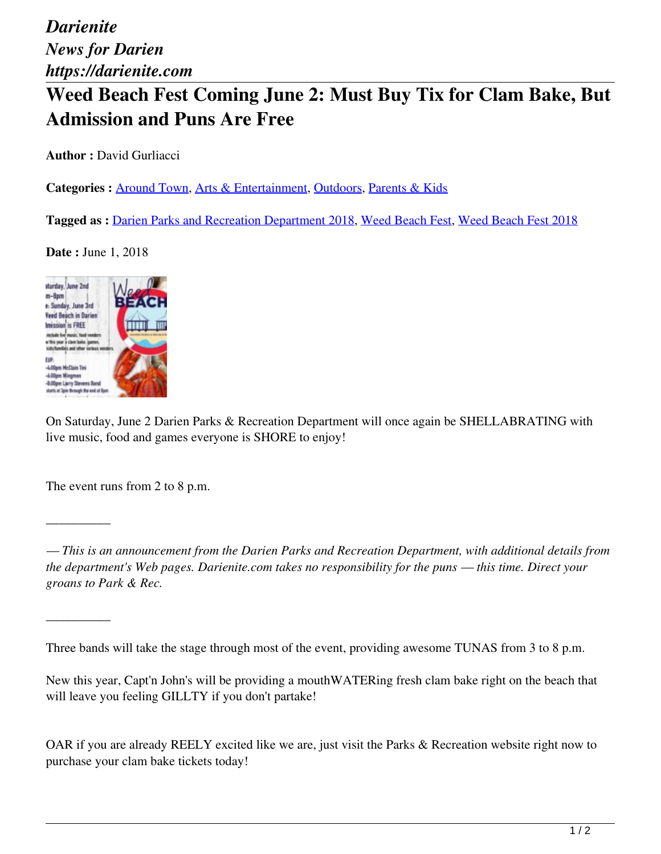## **Weed Beach Fest Coming June 2: Must Buy Tix for Clam Bake, But Admission and Puns Are Free**

**Author :** David Gurliacci

Categories : **Around Town**, Arts & Entertainment, Outdoors, Parents & Kids

**Tagged as :** Darien Parks and Recreation Department 2018, Weed Beach Fest, Weed Beach Fest 2018

**Date :** June 1, 2018



On Saturday, June 2 Darien Parks & Recreation Department will once again be SHELLABRATING with live music, food and games everyone is SHORE to enjoy!

The event runs from 2 to 8 p.m.

 $\overline{\phantom{a}}$ 

 $\overline{\phantom{a}}$ 

*— This is an announcement from the Darien Parks and Recreation Department, with additional details from the department's Web pages. Darienite.com takes no responsibility for the puns — this time. Direct your groans to Park & Rec.*

Three bands will take the stage through most of the event, providing awesome TUNAS from 3 to 8 p.m.

New this year, Capt'n John's will be providing a mouthWATERing fresh clam bake right on the beach that will leave you feeling GILLTY if you don't partake!

OAR if you are already REELY excited like we are, just visit the Parks & Recreation website right now to purchase your clam bake tickets today!